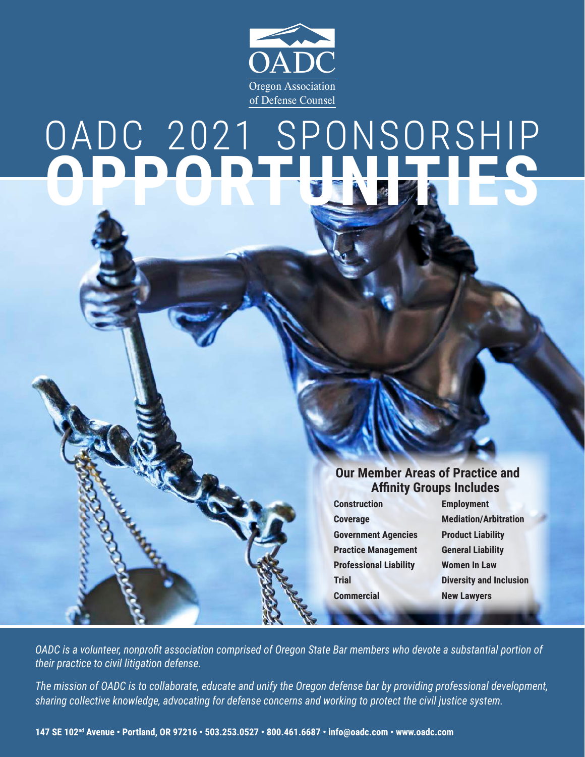

# OADC 2021 SPONSORSHIP **OPPORTUNITIES**

#### **Our Member Areas of Practice and Affinity Groups Includes**

**Construction Employment Coverage Mediation/Arbitration Government Agencies Product Liability Practice Management General Liability Professional Liability Women In Law Commercial New Lawyers**

**Trial Diversity and Inclusion**

*OADC is a volunteer, nonprofit association comprised of Oregon State Bar members who devote a substantial portion of their practice to civil litigation defense.*

*The mission of OADC is to collaborate, educate and unify the Oregon defense bar by providing professional development, sharing collective knowledge, advocating for defense concerns and working to protect the civil justice system.*

**147 SE 102nd Avenue • Portland, OR 97216 • 503.253.0527 • 800.461.6687 • info@oadc.com • www.oadc.com**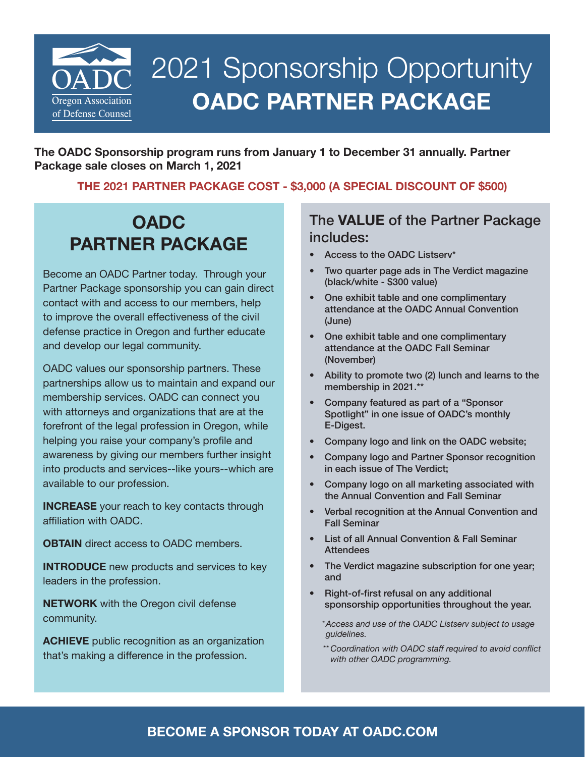

## 2021 Sponsorship Opportunity **OADC PARTNER PACKAGE**

**The OADC Sponsorship program runs from January 1 to December 31 annually. Partner Package sale closes on March 1, 2021** 

#### **THE 2021 PARTNER PACKAGE COST - \$3,000 (A SPECIAL DISCOUNT OF \$500)**

### **OADC PARTNER PACKAGE**

Become an OADC Partner today. Through your Partner Package sponsorship you can gain direct contact with and access to our members, help to improve the overall effectiveness of the civil defense practice in Oregon and further educate and develop our legal community.

OADC values our sponsorship partners. These partnerships allow us to maintain and expand our membership services. OADC can connect you with attorneys and organizations that are at the forefront of the legal profession in Oregon, while helping you raise your company's profile and awareness by giving our members further insight into products and services--like yours--which are available to our profession.

**INCREASE** your reach to key contacts through affiliation with OADC.

**OBTAIN** direct access to OADC members.

**INTRODUCE** new products and services to key leaders in the profession.

**NETWORK** with the Oregon civil defense community.

**ACHIEVE** public recognition as an organization that's making a difference in the profession.

#### The **VALUE** of the Partner Package includes:

- Access to the OADC Listserv\*
- Two quarter page ads in The Verdict magazine (black/white - \$300 value)
- One exhibit table and one complimentary attendance at the OADC Annual Convention (June)
- One exhibit table and one complimentary attendance at the OADC Fall Seminar (November)
- Ability to promote two (2) lunch and learns to the membership in 2021.\*\*
- Company featured as part of a "Sponsor Spotlight" in one issue of OADC's monthly E-Digest.
- Company logo and link on the OADC website;
- Company logo and Partner Sponsor recognition in each issue of The Verdict;
- Company logo on all marketing associated with the Annual Convention and Fall Seminar
- Verbal recognition at the Annual Convention and Fall Seminar
- List of all Annual Convention & Fall Seminar **Attendees**
- The Verdict magazine subscription for one year; and
- Right-of-first refusal on any additional sponsorship opportunities throughout the year.

*\*Access and use of the OADC Listserv subject to usage guidelines.*

*\*\* Coordination with OADC staff required to avoid conflict with other OADC programming.*

#### **BECOME A SPONSOR TODAY AT OADC.COM**